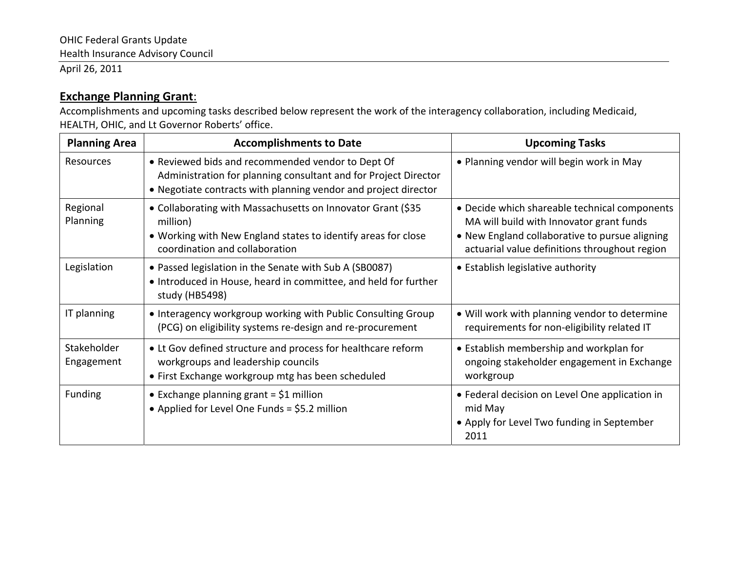April 26, 2011

## **Exchange Planning Grant**:

Accomplishments and upcoming tasks described below represent the work of the interagency collaboration, including Medicaid, HEALTH, OHIC, and Lt Governor Roberts' office.

| <b>Planning Area</b>      | <b>Accomplishments to Date</b>                                                                                                                                                          | <b>Upcoming Tasks</b>                                                                                                                                                                        |
|---------------------------|-----------------------------------------------------------------------------------------------------------------------------------------------------------------------------------------|----------------------------------------------------------------------------------------------------------------------------------------------------------------------------------------------|
| Resources                 | • Reviewed bids and recommended vendor to Dept Of<br>Administration for planning consultant and for Project Director<br>• Negotiate contracts with planning vendor and project director | • Planning vendor will begin work in May                                                                                                                                                     |
| Regional<br>Planning      | • Collaborating with Massachusetts on Innovator Grant (\$35<br>million)<br>• Working with New England states to identify areas for close<br>coordination and collaboration              | • Decide which shareable technical components<br>MA will build with Innovator grant funds<br>• New England collaborative to pursue aligning<br>actuarial value definitions throughout region |
| Legislation               | • Passed legislation in the Senate with Sub A (SB0087)<br>• Introduced in House, heard in committee, and held for further<br>study (HB5498)                                             | • Establish legislative authority                                                                                                                                                            |
| IT planning               | • Interagency workgroup working with Public Consulting Group<br>(PCG) on eligibility systems re-design and re-procurement                                                               | • Will work with planning vendor to determine<br>requirements for non-eligibility related IT                                                                                                 |
| Stakeholder<br>Engagement | • Lt Gov defined structure and process for healthcare reform<br>workgroups and leadership councils<br>• First Exchange workgroup mtg has been scheduled                                 | • Establish membership and workplan for<br>ongoing stakeholder engagement in Exchange<br>workgroup                                                                                           |
| <b>Funding</b>            | • Exchange planning grant $=$ \$1 million<br>• Applied for Level One Funds = \$5.2 million                                                                                              | • Federal decision on Level One application in<br>mid May<br>• Apply for Level Two funding in September<br>2011                                                                              |